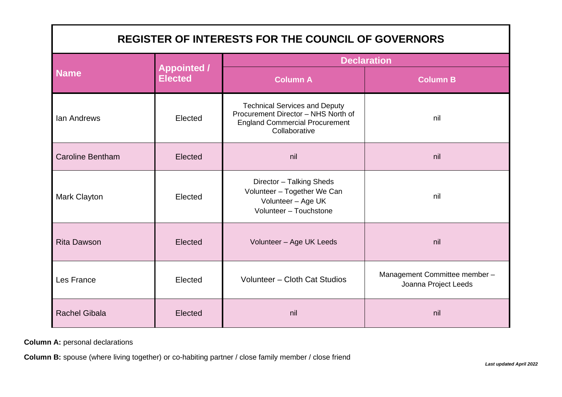| <b>REGISTER OF INTERESTS FOR THE COUNCIL OF GOVERNORS</b> |                                      |                                                                                                                                       |                                                       |  |  |
|-----------------------------------------------------------|--------------------------------------|---------------------------------------------------------------------------------------------------------------------------------------|-------------------------------------------------------|--|--|
| <b>Name</b>                                               | <b>Appointed /</b><br><b>Elected</b> | <b>Declaration</b>                                                                                                                    |                                                       |  |  |
|                                                           |                                      | <b>Column A</b>                                                                                                                       | <b>Column B</b>                                       |  |  |
| <b>lan Andrews</b>                                        | Elected                              | <b>Technical Services and Deputy</b><br>Procurement Director - NHS North of<br><b>England Commercial Procurement</b><br>Collaborative | nil                                                   |  |  |
| <b>Caroline Bentham</b>                                   | Elected                              | nil                                                                                                                                   | nil                                                   |  |  |
| Mark Clayton                                              | Elected                              | Director - Talking Sheds<br>Volunteer - Together We Can<br>Volunteer - Age UK<br>Volunteer - Touchstone                               | nil                                                   |  |  |
| <b>Rita Dawson</b>                                        | Elected                              | Volunteer - Age UK Leeds                                                                                                              | nil                                                   |  |  |
| Les France                                                | Elected                              | Volunteer - Cloth Cat Studios                                                                                                         | Management Committee member -<br>Joanna Project Leeds |  |  |
| <b>Rachel Gibala</b>                                      | Elected                              | nil                                                                                                                                   | nil                                                   |  |  |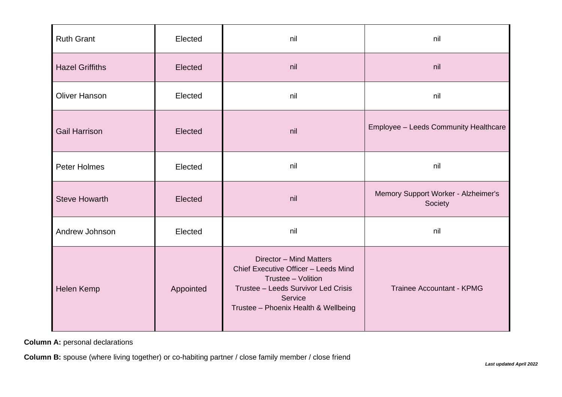| <b>Ruth Grant</b>      | Elected   | nil                                                                                                                                                                             | nil                                            |
|------------------------|-----------|---------------------------------------------------------------------------------------------------------------------------------------------------------------------------------|------------------------------------------------|
| <b>Hazel Griffiths</b> | Elected   | nil                                                                                                                                                                             | nil                                            |
| <b>Oliver Hanson</b>   | Elected   | nil                                                                                                                                                                             | nil                                            |
| <b>Gail Harrison</b>   | Elected   | nil                                                                                                                                                                             | Employee - Leeds Community Healthcare          |
| Peter Holmes           | Elected   | nil                                                                                                                                                                             | nil                                            |
| <b>Steve Howarth</b>   | Elected   | nil                                                                                                                                                                             | Memory Support Worker - Alzheimer's<br>Society |
| Andrew Johnson         | Elected   | nil                                                                                                                                                                             | nil                                            |
| Helen Kemp             | Appointed | Director - Mind Matters<br>Chief Executive Officer - Leeds Mind<br>Trustee - Volition<br>Trustee - Leeds Survivor Led Crisis<br>Service<br>Trustee - Phoenix Health & Wellbeing | <b>Trainee Accountant - KPMG</b>               |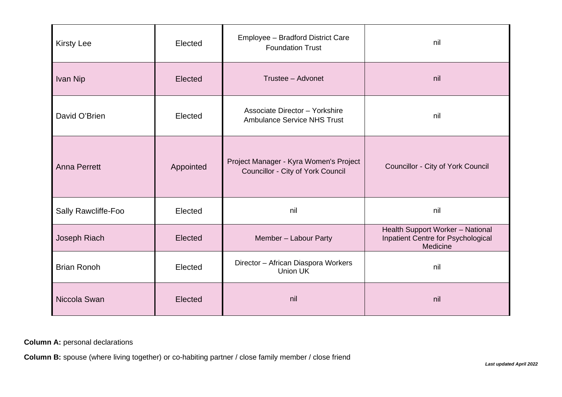| <b>Kirsty Lee</b>   | Elected   | Employee - Bradford District Care<br><b>Foundation Trust</b>                | nil                                                                                |
|---------------------|-----------|-----------------------------------------------------------------------------|------------------------------------------------------------------------------------|
| Ivan Nip            | Elected   | Trustee - Advonet                                                           | nil                                                                                |
| David O'Brien       | Elected   | Associate Director - Yorkshire<br><b>Ambulance Service NHS Trust</b>        | nil                                                                                |
| <b>Anna Perrett</b> | Appointed | Project Manager - Kyra Women's Project<br>Councillor - City of York Council | Councillor - City of York Council                                                  |
| Sally Rawcliffe-Foo | Elected   | nil                                                                         | nil                                                                                |
| Joseph Riach        | Elected   | Member - Labour Party                                                       | Health Support Worker - National<br>Inpatient Centre for Psychological<br>Medicine |
| <b>Brian Ronoh</b>  | Elected   | Director - African Diaspora Workers<br>Union UK                             | nil                                                                                |
| Niccola Swan        | Elected   | nil                                                                         | nil                                                                                |